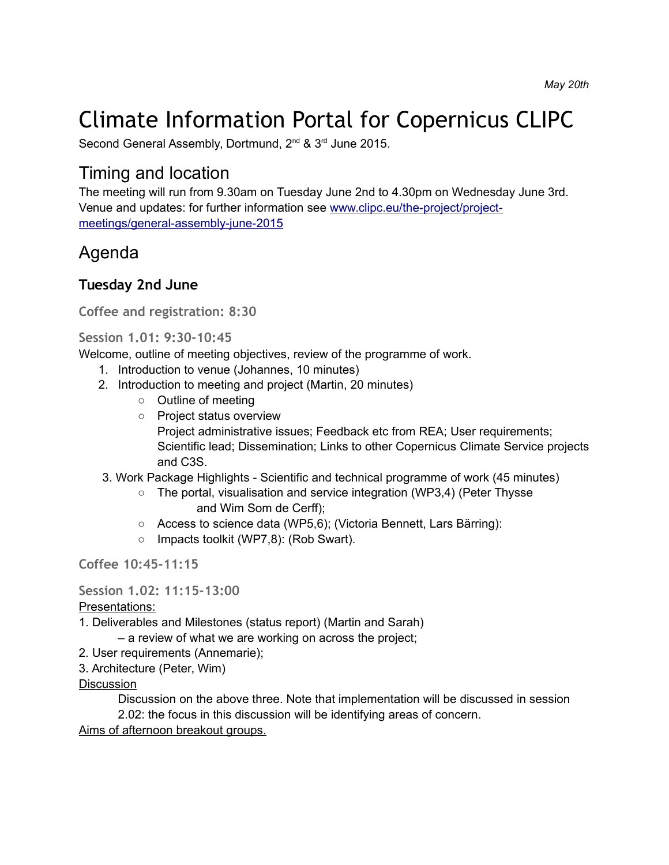# Climate Information Portal for Copernicus CLIPC

Second General Assembly, Dortmund, 2<sup>nd</sup> & 3<sup>rd</sup> June 2015.

## Timing and location

The meeting will run from 9.30am on Tuesday June 2nd to 4.30pm on Wednesday June 3rd. Venue and updates: for further information see [www.clipc.eu/the-project/project](http://www.clipc.eu/the-project/project-meetings/general-assembly-june-2015)[meetings/general-assembly-june-2015](http://www.clipc.eu/the-project/project-meetings/general-assembly-june-2015)

## Agenda

### **Tuesday 2nd June**

**Coffee and registration: 8:30**

**Session 1.01: 9:30-10:45**

Welcome, outline of meeting objectives, review of the programme of work.

- 1. Introduction to venue (Johannes, 10 minutes)
- 2. Introduction to meeting and project (Martin, 20 minutes)
	- Outline of meeting
	- Project status overview Project administrative issues; Feedback etc from REA; User requirements; Scientific lead; Dissemination; Links to other Copernicus Climate Service projects and C3S.
- 3. Work Package Highlights Scientific and technical programme of work (45 minutes)
	- The portal, visualisation and service integration (WP3,4) (Peter Thysse and Wim Som de Cerff);
	- Access to science data (WP5,6); (Victoria Bennett, Lars Bärring):
	- Impacts toolkit (WP7,8): (Rob Swart).

**Coffee 10:45-11:15**

**Session 1.02: 11:15-13:00**

Presentations:

- 1. Deliverables and Milestones (status report) (Martin and Sarah)
	- a review of what we are working on across the project;
- 2. User requirements (Annemarie);
- 3. Architecture (Peter, Wim)

#### **Discussion**

Discussion on the above three. Note that implementation will be discussed in session 2.02: the focus in this discussion will be identifying areas of concern. Aims of afternoon breakout groups.